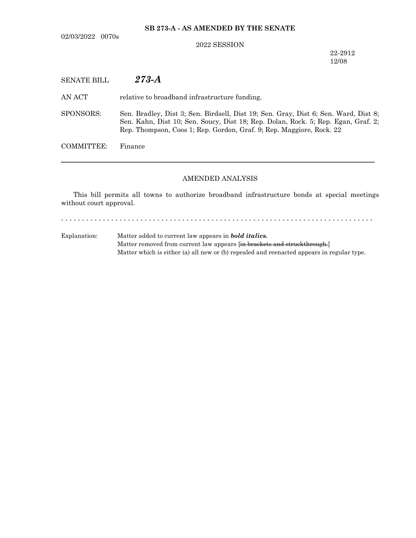02/03/2022 0070s

## **SB 273-A - AS AMENDED BY THE SENATE**

## 2022 SESSION

22-2912 12/08

AN ACT relative to broadband infrastructure funding.

SPONSORS: Sen. Bradley, Dist 3; Sen. Birdsell, Dist 19; Sen. Gray, Dist 6; Sen. Ward, Dist 8; Sen. Kahn, Dist 10; Sen. Soucy, Dist 18; Rep. Dolan, Rock. 5; Rep. Egan, Graf. 2; Rep. Thompson, Coos 1; Rep. Gordon, Graf. 9; Rep. Maggiore, Rock. 22

COMMITTEE: Finance

## AMENDED ANALYSIS

─────────────────────────────────────────────────────────────────

This bill permits all towns to authorize broadband infrastructure bonds at special meetings without court approval.

- - - - - - - - - - - - - - - - - - - - - - - - - - - - - - - - - - - - - - - - - - - - - - - - - - - - - - - - - - - - - - - - - - - - - - - - - - -

Explanation: Matter added to current law appears in *bold italics.* Matter removed from current law appears [in brackets and struckthrough.] Matter which is either (a) all new or (b) repealed and reenacted appears in regular type.